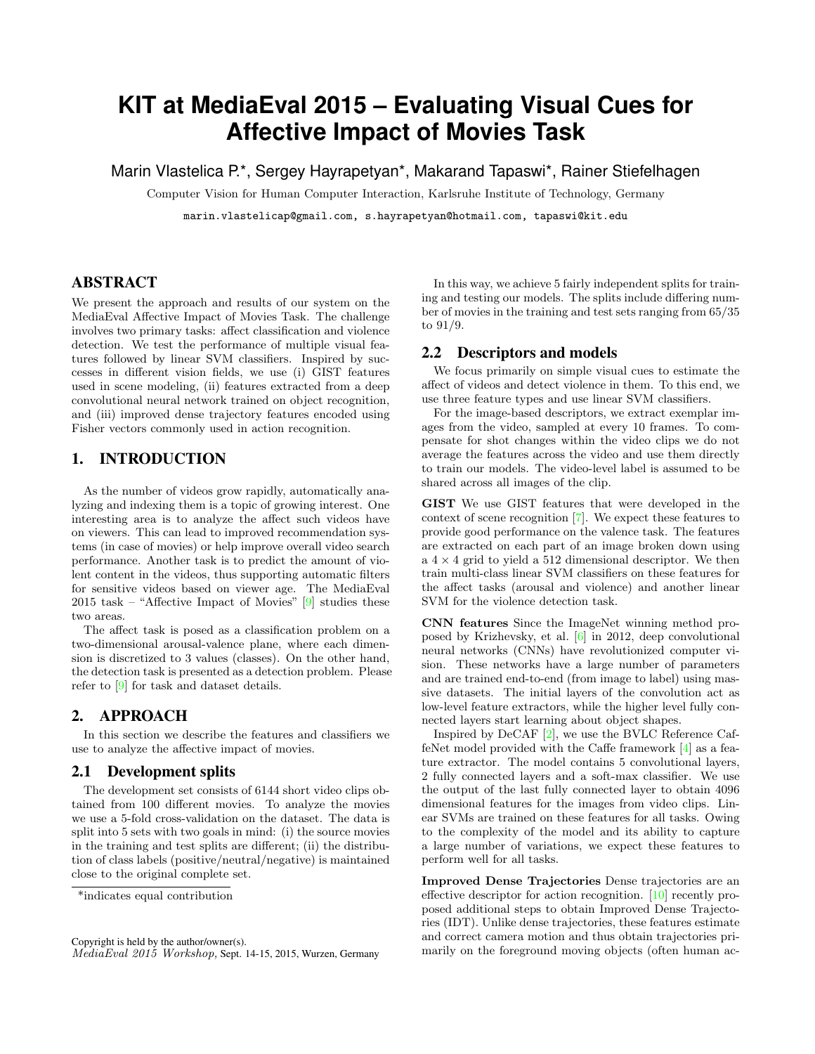# **KIT at MediaEval 2015 – Evaluating Visual Cues for Affective Impact of Movies Task**

Marin Vlastelica P.\*, Sergey Hayrapetyan\*, Makarand Tapaswi\*, Rainer Stiefelhagen

Computer Vision for Human Computer Interaction, Karlsruhe Institute of Technology, Germany

marin.vlastelicap@gmail.com, s.hayrapetyan@hotmail.com, tapaswi@kit.edu

## ABSTRACT

We present the approach and results of our system on the MediaEval Affective Impact of Movies Task. The challenge involves two primary tasks: affect classification and violence detection. We test the performance of multiple visual features followed by linear SVM classifiers. Inspired by successes in different vision fields, we use (i) GIST features used in scene modeling, (ii) features extracted from a deep convolutional neural network trained on object recognition, and (iii) improved dense trajectory features encoded using Fisher vectors commonly used in action recognition.

## 1. INTRODUCTION

As the number of videos grow rapidly, automatically analyzing and indexing them is a topic of growing interest. One interesting area is to analyze the affect such videos have on viewers. This can lead to improved recommendation systems (in case of movies) or help improve overall video search performance. Another task is to predict the amount of violent content in the videos, thus supporting automatic filters for sensitive videos based on viewer age. The MediaEval 2015 task – "Affective Impact of Movies"  $[9]$  studies these two areas.

The affect task is posed as a classification problem on a two-dimensional arousal-valence plane, where each dimension is discretized to 3 values (classes). On the other hand, the detection task is presented as a detection problem. Please refer to [\[9\]](#page-2-0) for task and dataset details.

# 2. APPROACH

In this section we describe the features and classifiers we use to analyze the affective impact of movies.

#### 2.1 Development splits

The development set consists of 6144 short video clips obtained from 100 different movies. To analyze the movies we use a 5-fold cross-validation on the dataset. The data is split into 5 sets with two goals in mind: (i) the source movies in the training and test splits are different; (ii) the distribution of class labels (positive/neutral/negative) is maintained close to the original complete set.

In this way, we achieve 5 fairly independent splits for training and testing our models. The splits include differing number of movies in the training and test sets ranging from 65/35 to 91/9.

#### 2.2 Descriptors and models

We focus primarily on simple visual cues to estimate the affect of videos and detect violence in them. To this end, we use three feature types and use linear SVM classifiers.

For the image-based descriptors, we extract exemplar images from the video, sampled at every 10 frames. To compensate for shot changes within the video clips we do not average the features across the video and use them directly to train our models. The video-level label is assumed to be shared across all images of the clip.

GIST We use GIST features that were developed in the context of scene recognition [\[7\]](#page-2-1). We expect these features to provide good performance on the valence task. The features are extracted on each part of an image broken down using a $4\times 4$  grid to yield a 512 dimensional descriptor. We then train multi-class linear SVM classifiers on these features for the affect tasks (arousal and violence) and another linear SVM for the violence detection task.

CNN features Since the ImageNet winning method proposed by Krizhevsky, et al. [\[6\]](#page-2-2) in 2012, deep convolutional neural networks (CNNs) have revolutionized computer vision. These networks have a large number of parameters and are trained end-to-end (from image to label) using massive datasets. The initial layers of the convolution act as low-level feature extractors, while the higher level fully connected layers start learning about object shapes.

Inspired by DeCAF [\[2\]](#page-1-0), we use the BVLC Reference CaffeNet model provided with the Caffe framework [\[4\]](#page-1-1) as a feature extractor. The model contains 5 convolutional layers, 2 fully connected layers and a soft-max classifier. We use the output of the last fully connected layer to obtain 4096 dimensional features for the images from video clips. Linear SVMs are trained on these features for all tasks. Owing to the complexity of the model and its ability to capture a large number of variations, we expect these features to perform well for all tasks.

Improved Dense Trajectories Dense trajectories are an effective descriptor for action recognition. [\[10\]](#page-2-3) recently proposed additional steps to obtain Improved Dense Trajectories (IDT). Unlike dense trajectories, these features estimate and correct camera motion and thus obtain trajectories primarily on the foreground moving objects (often human ac-

<sup>\*</sup>indicates equal contribution

Copyright is held by the author/owner(s). MediaEval 2015 Workshop, Sept. 14-15, 2015, Wurzen, Germany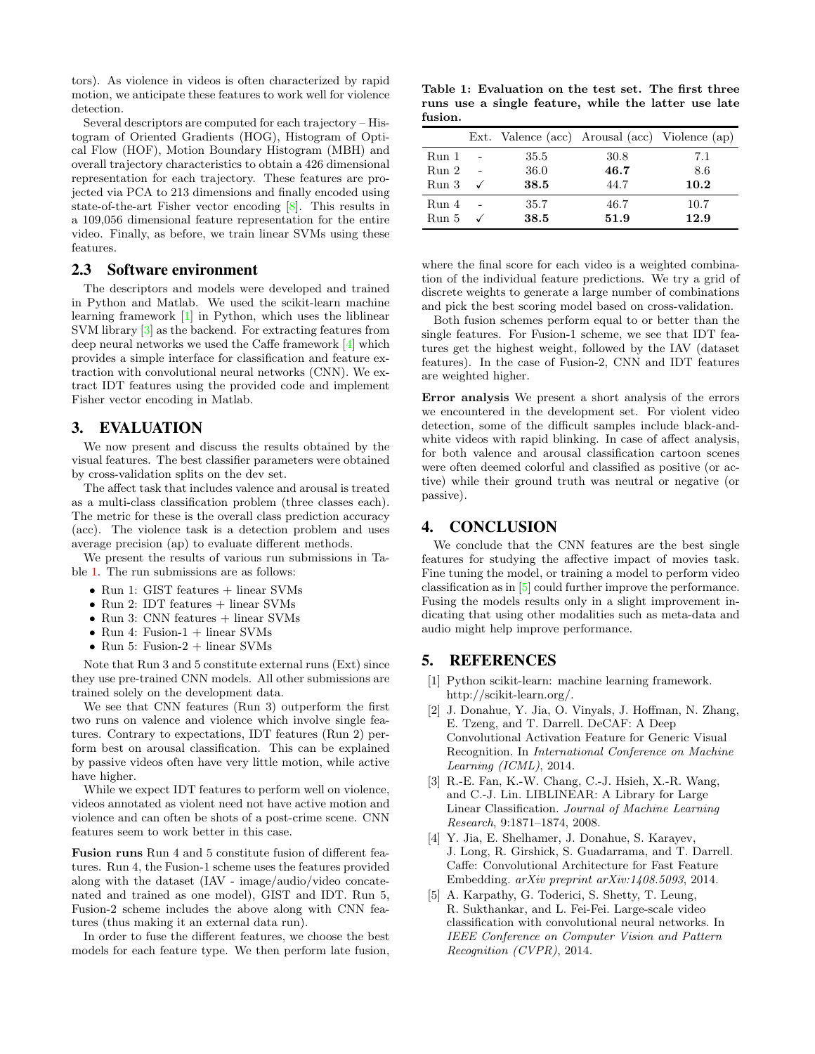tors). As violence in videos is often characterized by rapid motion, we anticipate these features to work well for violence detection.

Several descriptors are computed for each trajectory – Histogram of Oriented Gradients (HOG), Histogram of Optical Flow (HOF), Motion Boundary Histogram (MBH) and overall trajectory characteristics to obtain a 426 dimensional representation for each trajectory. These features are projected via PCA to 213 dimensions and finally encoded using state-of-the-art Fisher vector encoding [\[8\]](#page-2-4). This results in a 109,056 dimensional feature representation for the entire video. Finally, as before, we train linear SVMs using these features.

#### 2.3 Software environment

The descriptors and models were developed and trained in Python and Matlab. We used the scikit-learn machine learning framework [\[1\]](#page-1-2) in Python, which uses the liblinear SVM library [\[3\]](#page-1-3) as the backend. For extracting features from deep neural networks we used the Caffe framework [\[4\]](#page-1-1) which provides a simple interface for classification and feature extraction with convolutional neural networks (CNN). We extract IDT features using the provided code and implement Fisher vector encoding in Matlab.

#### 3. EVALUATION

We now present and discuss the results obtained by the visual features. The best classifier parameters were obtained by cross-validation splits on the dev set.

The affect task that includes valence and arousal is treated as a multi-class classification problem (three classes each). The metric for these is the overall class prediction accuracy (acc). The violence task is a detection problem and uses average precision (ap) to evaluate different methods.

We present the results of various run submissions in Table [1.](#page-1-4) The run submissions are as follows:

- Run 1: GIST features + linear SVMs
- Run 2: IDT features  $+$  linear SVMs
- Run 3: CNN features + linear SVMs
- Run 4: Fusion- $1 +$  linear SVMs
- Run 5: Fusion- $2 +$  linear SVMs

Note that Run 3 and 5 constitute external runs (Ext) since they use pre-trained CNN models. All other submissions are trained solely on the development data.

We see that CNN features (Run 3) outperform the first two runs on valence and violence which involve single features. Contrary to expectations, IDT features (Run 2) perform best on arousal classification. This can be explained by passive videos often have very little motion, while active have higher.

While we expect IDT features to perform well on violence, videos annotated as violent need not have active motion and violence and can often be shots of a post-crime scene. CNN features seem to work better in this case.

Fusion runs Run 4 and 5 constitute fusion of different features. Run 4, the Fusion-1 scheme uses the features provided along with the dataset (IAV - image/audio/video concatenated and trained as one model), GIST and IDT. Run 5, Fusion-2 scheme includes the above along with CNN features (thus making it an external data run).

In order to fuse the different features, we choose the best models for each feature type. We then perform late fusion,

<span id="page-1-4"></span>Table 1: Evaluation on the test set. The first three runs use a single feature, while the latter use late fusion.

|       |      | Ext. Valence (acc) Arousal (acc) Violence (ap) |      |
|-------|------|------------------------------------------------|------|
| Run 1 | 35.5 | 30.8                                           | 7.1  |
| Run 2 | 36.0 | 46.7                                           | 8.6  |
| Run 3 | 38.5 | 44.7                                           | 10.2 |
| Run 4 | 35.7 | 46.7                                           | 10.7 |
| Run 5 | 38.5 | 51.9                                           | 12.9 |

where the final score for each video is a weighted combination of the individual feature predictions. We try a grid of discrete weights to generate a large number of combinations and pick the best scoring model based on cross-validation.

Both fusion schemes perform equal to or better than the single features. For Fusion-1 scheme, we see that IDT features get the highest weight, followed by the IAV (dataset features). In the case of Fusion-2, CNN and IDT features are weighted higher.

Error analysis We present a short analysis of the errors we encountered in the development set. For violent video detection, some of the difficult samples include black-andwhite videos with rapid blinking. In case of affect analysis, for both valence and arousal classification cartoon scenes were often deemed colorful and classified as positive (or active) while their ground truth was neutral or negative (or passive).

#### 4. CONCLUSION

We conclude that the CNN features are the best single features for studying the affective impact of movies task. Fine tuning the model, or training a model to perform video classification as in [\[5\]](#page-1-5) could further improve the performance. Fusing the models results only in a slight improvement indicating that using other modalities such as meta-data and audio might help improve performance.

#### 5. REFERENCES

- <span id="page-1-2"></span>[1] Python scikit-learn: machine learning framework. http://scikit-learn.org/.
- <span id="page-1-0"></span>[2] J. Donahue, Y. Jia, O. Vinyals, J. Hoffman, N. Zhang, E. Tzeng, and T. Darrell. DeCAF: A Deep Convolutional Activation Feature for Generic Visual Recognition. In International Conference on Machine Learning (ICML), 2014.
- <span id="page-1-3"></span>[3] R.-E. Fan, K.-W. Chang, C.-J. Hsieh, X.-R. Wang, and C.-J. Lin. LIBLINEAR: A Library for Large Linear Classification. Journal of Machine Learning Research, 9:1871–1874, 2008.
- <span id="page-1-1"></span>[4] Y. Jia, E. Shelhamer, J. Donahue, S. Karayev, J. Long, R. Girshick, S. Guadarrama, and T. Darrell. Caffe: Convolutional Architecture for Fast Feature Embedding. arXiv preprint arXiv:1408.5093, 2014.
- <span id="page-1-5"></span>[5] A. Karpathy, G. Toderici, S. Shetty, T. Leung, R. Sukthankar, and L. Fei-Fei. Large-scale video classification with convolutional neural networks. In IEEE Conference on Computer Vision and Pattern Recognition (CVPR), 2014.